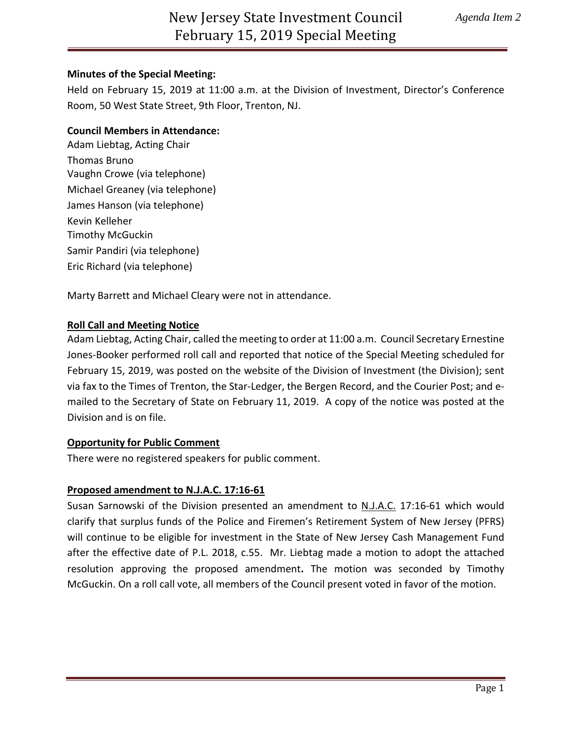## **Minutes of the Special Meeting:**

Held on February 15, 2019 at 11:00 a.m. at the Division of Investment, Director's Conference Room, 50 West State Street, 9th Floor, Trenton, NJ.

## **Council Members in Attendance:**

Adam Liebtag, Acting Chair Thomas Bruno Vaughn Crowe (via telephone) Michael Greaney (via telephone) James Hanson (via telephone) Kevin Kelleher Timothy McGuckin Samir Pandiri (via telephone) Eric Richard (via telephone)

Marty Barrett and Michael Cleary were not in attendance.

#### **Roll Call and Meeting Notice**

Adam Liebtag, Acting Chair, called the meeting to order at 11:00 a.m. Council Secretary Ernestine Jones-Booker performed roll call and reported that notice of the Special Meeting scheduled for February 15, 2019, was posted on the website of the Division of Investment (the Division); sent via fax to the Times of Trenton, the Star-Ledger, the Bergen Record, and the Courier Post; and emailed to the Secretary of State on February 11, 2019. A copy of the notice was posted at the Division and is on file.

#### **Opportunity for Public Comment**

There were no registered speakers for public comment.

#### **Proposed amendment to N.J.A.C. 17:16-61**

Susan Sarnowski of the Division presented an amendment to N.J.A.C. 17:16-61 which would clarify that surplus funds of the Police and Firemen's Retirement System of New Jersey (PFRS) will continue to be eligible for investment in the State of New Jersey Cash Management Fund after the effective date of P.L. 2018, c.55. Mr. Liebtag made a motion to adopt the attached resolution approving the proposed amendment**.** The motion was seconded by Timothy McGuckin. On a roll call vote, all members of the Council present voted in favor of the motion.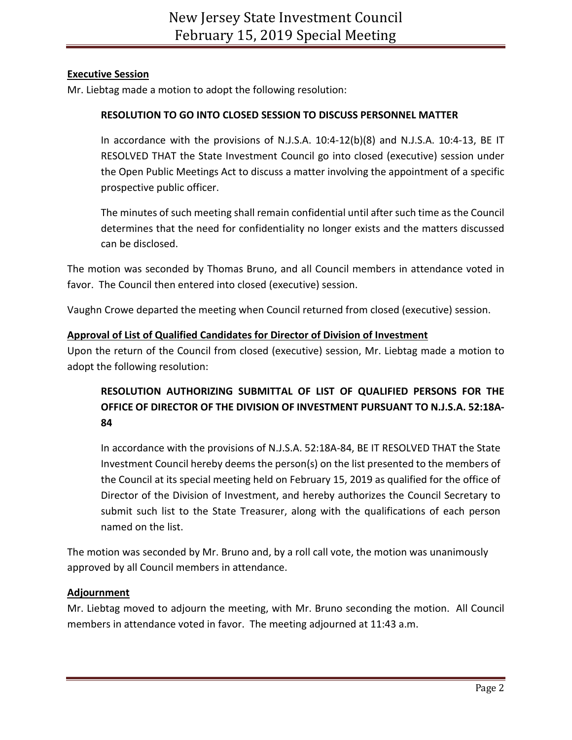## **Executive Session**

Mr. Liebtag made a motion to adopt the following resolution:

## **RESOLUTION TO GO INTO CLOSED SESSION TO DISCUSS PERSONNEL MATTER**

In accordance with the provisions of N.J.S.A. 10:4-12(b)(8) and N.J.S.A. 10:4-13, BE IT RESOLVED THAT the State Investment Council go into closed (executive) session under the Open Public Meetings Act to discuss a matter involving the appointment of a specific prospective public officer.

The minutes of such meeting shall remain confidential until after such time as the Council determines that the need for confidentiality no longer exists and the matters discussed can be disclosed.

The motion was seconded by Thomas Bruno, and all Council members in attendance voted in favor. The Council then entered into closed (executive) session.

Vaughn Crowe departed the meeting when Council returned from closed (executive) session.

## **Approval of List of Qualified Candidates for Director of Division of Investment**

Upon the return of the Council from closed (executive) session, Mr. Liebtag made a motion to adopt the following resolution:

# **RESOLUTION AUTHORIZING SUBMITTAL OF LIST OF QUALIFIED PERSONS FOR THE OFFICE OF DIRECTOR OF THE DIVISION OF INVESTMENT PURSUANT TO N.J.S.A. 52:18A-84**

In accordance with the provisions of N.J.S.A. 52:18A-84, BE IT RESOLVED THAT the State Investment Council hereby deems the person(s) on the list presented to the members of the Council at its special meeting held on February 15, 2019 as qualified for the office of Director of the Division of Investment, and hereby authorizes the Council Secretary to submit such list to the State Treasurer, along with the qualifications of each person named on the list.

The motion was seconded by Mr. Bruno and, by a roll call vote, the motion was unanimously approved by all Council members in attendance.

## **Adjournment**

Mr. Liebtag moved to adjourn the meeting, with Mr. Bruno seconding the motion. All Council members in attendance voted in favor. The meeting adjourned at 11:43 a.m.